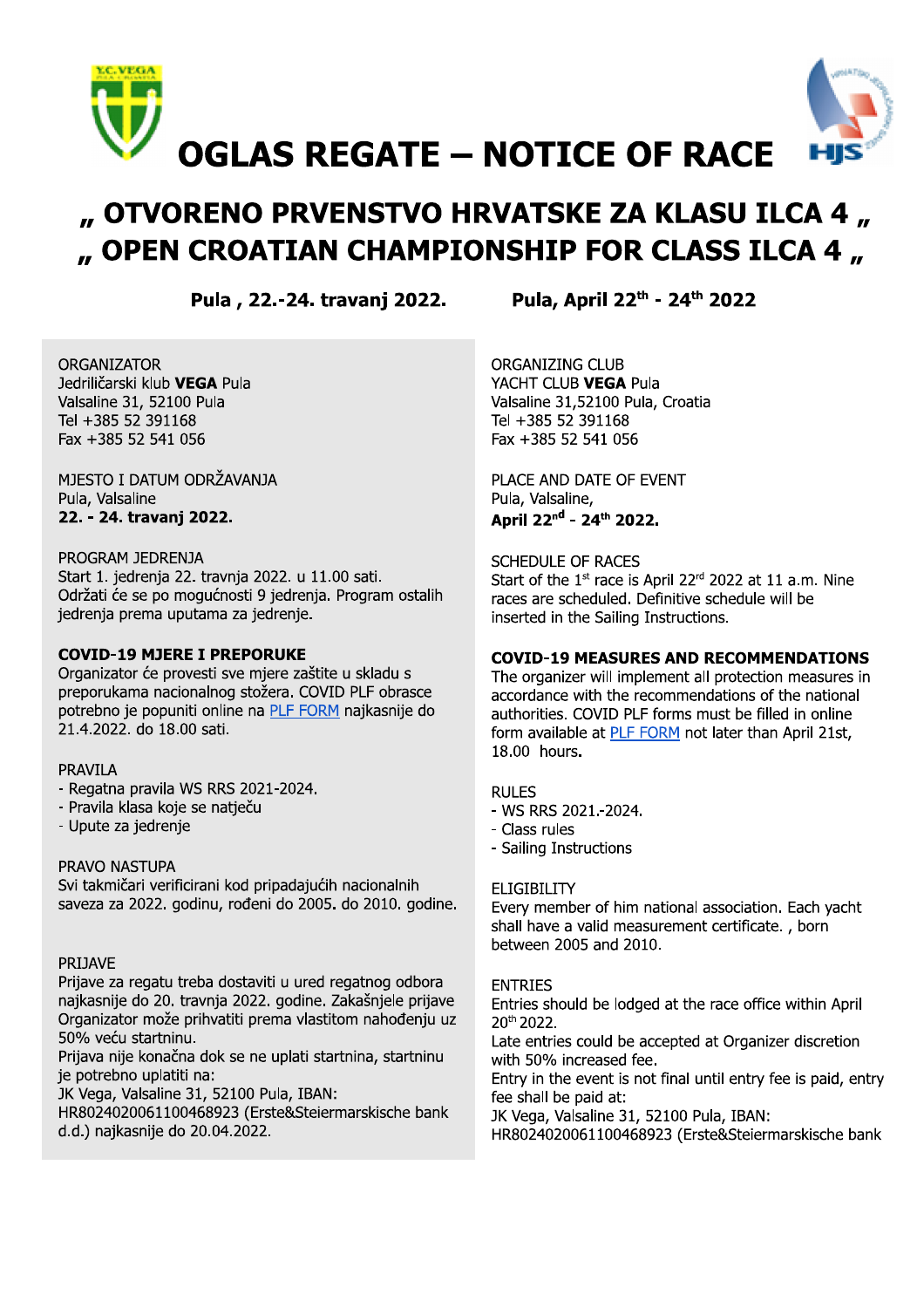

# " OTVORENO PRVENSTVO HRVATSKE ZA KLASU ILCA 4 " " OPEN CROATIAN CHAMPIONSHIP FOR CLASS ILCA 4,

Pula, 22.-24. travanj 2022.

Pula, April 22th - 24th 2022

**ORGANIZATOR** Jedriličarski klub VEGA Pula Valsaline 31, 52100 Pula Tel +385 52 391168 Fax +385 52 541 056

MJESTO I DATUM ODRŽAVANJA Pula, Valsaline 22. - 24. travanj 2022.

## PROGRAM JEDRENJA

Start 1. jedrenja 22. travnja 2022. u 11.00 sati. Održati će se po mogućnosti 9 jedrenja. Program ostalih jedrenja prema uputama za jedrenje.

# **COVID-19 MJERE I PREPORUKE**

Organizator će provesti sve mjere zaštite u skladu s preporukama nacionalnog stožera. COVID PLF obrasce potrebno je popuniti online na PLF FORM najkasnije do 21.4.2022, do 18.00 sati.

### **PRAVILA**

- Regatna pravila WS RRS 2021-2024.
- Pravila klasa koje se natječu
- Upute za jedrenje

# PRAVO NASTUPA

Svi takmičari verificirani kod pripadajućih nacionalnih saveza za 2022. godinu, rođeni do 2005. do 2010. godine.

### **PRIJAVE**

Prijave za regatu treba dostaviti u ured regatnog odbora najkasnije do 20. travnja 2022. godine. Zakašnjele prijave Organizator može prihvatiti prema vlastitom nahođenju uz 50% veću startninu.

Prijava nije konačna dok se ne uplati startnina, startninu je potrebno uplatiti na:

JK Vega, Valsaline 31, 52100 Pula, IBAN:

HR8024020061100468923 (Erste&Steiermarskische bank d.d.) najkasnije do 20.04.2022.

**ORGANIZING CLUB** YACHT CLUB VEGA Pula Valsaline 31,52100 Pula, Croatia Tel +385 52 391168 Fax +385 52 541 056

PLACE AND DATE OF EVENT Pula, Valsaline, April 22<sup>nd</sup> - 24<sup>th</sup> 2022.

**SCHEDULE OF RACES** Start of the 1<sup>st</sup> race is April 22<sup>rd</sup> 2022 at 11 a.m. Nine races are scheduled. Definitive schedule will be inserted in the Sailing Instructions.

# **COVID-19 MEASURES AND RECOMMENDATIONS**

The organizer will implement all protection measures in accordance with the recommendations of the national authorities. COVID PLF forms must be filled in online form available at PLF FORM not later than April 21st, 18.00 hours.

### **RULES**

- WS RRS 2021 .- 2024.
- Class rules
- Sailing Instructions

# **ELIGIBILITY**

Every member of him national association. Each yacht shall have a valid measurement certificate., born between 2005 and 2010.

# **ENTRIES**

Entries should be lodged at the race office within April 20th 2022.

Late entries could be accepted at Organizer discretion with 50% increased fee.

Entry in the event is not final until entry fee is paid, entry fee shall be paid at:

JK Vega, Valsaline 31, 52100 Pula, IBAN:

HR8024020061100468923 (Erste&Steiermarskische bank